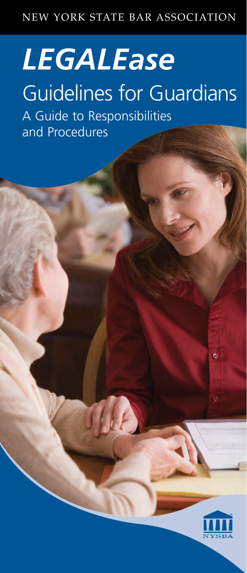## NEW YORK STATE BAR ASSOCIATION

# *LEGALEase*

# Guidelines for Guardians

A Guide to Responsibilities and Procedures



 $\bullet$ 

New York State Bar Association | 1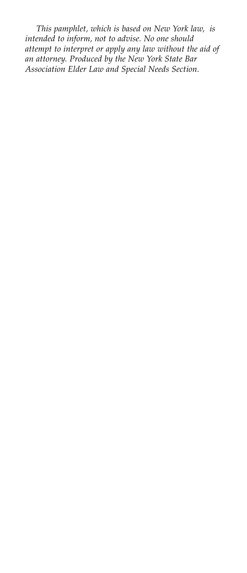*This pamphlet, which is based on New York law, is intended to inform, not to advise. No one should attempt to interpret or apply any law without the aid of an attorney. Produced by the New York State Bar Association Elder Law and Special Needs Section.*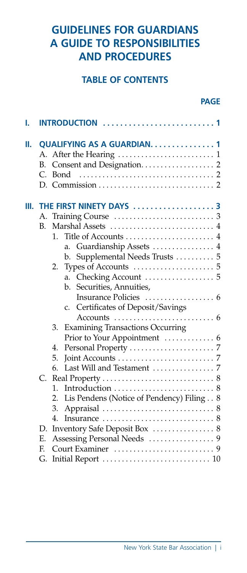### **GUIDELINES FOR GUARDIANS A GUIDE TO RESPONSIBILITIES AND PROCEDURES**

#### **TABLE OF CONTENTS**

#### *PAGE*

| ı. |                         | <b>INTRODUCTION</b> 1                                                                                                                                                                                                                                              |  |  |  |  |  |
|----|-------------------------|--------------------------------------------------------------------------------------------------------------------------------------------------------------------------------------------------------------------------------------------------------------------|--|--|--|--|--|
| н. | А.<br>B.<br>C.          | QUALIFYING AS A GUARDIAN. 1<br>Bond                                                                                                                                                                                                                                |  |  |  |  |  |
| Ш. | А.<br>B.                | THE FIRST NINETY DAYS 3<br>Marshal Assets  4<br>$1_{\cdot}$<br>Guardianship Assets  4<br>a.<br>Supplemental Needs Trusts  5<br>b.<br>2.<br>a.                                                                                                                      |  |  |  |  |  |
|    |                         | Securities, Annuities,<br>b.<br>Certificates of Deposit/Savings<br>C.<br>Accounts $\dots\dots\dots\dots\dots\dots\dots\dots\dots$<br><b>Examining Transactions Occurring</b><br>3.<br>Prior to Your Appointment  6<br>4.<br>5.<br>Last Will and Testament  7<br>6. |  |  |  |  |  |
|    | $C_{\cdot}$<br>D.<br>E. | 1.<br>Lis Pendens (Notice of Pendency) Filing 8<br>2.<br>3.<br>$\overline{4}$ .<br>Inventory Safe Deposit Box  8                                                                                                                                                   |  |  |  |  |  |
|    | F.                      |                                                                                                                                                                                                                                                                    |  |  |  |  |  |
|    | G.                      |                                                                                                                                                                                                                                                                    |  |  |  |  |  |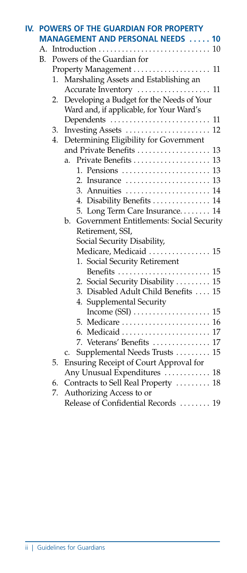|    |    | IV. POWERS OF THE GUARDIAN FOR PROPERTY        |
|----|----|------------------------------------------------|
|    |    | <b>MANAGEMENT AND PERSONAL NEEDS  10</b>       |
|    |    |                                                |
| В. |    | Powers of the Guardian for                     |
|    |    | Property Management  11                        |
|    | 1. | Marshaling Assets and Establishing an          |
|    |    |                                                |
|    | 2. | Developing a Budget for the Needs of Your      |
|    |    | Ward and, if applicable, for Your Ward's       |
|    |    | Dependents  11                                 |
|    | 3. |                                                |
|    | 4. | Determining Eligibility for Government         |
|    |    | and Private Benefits  13                       |
|    |    | a.                                             |
|    |    | 1. Pensions  13                                |
|    |    |                                                |
|    |    | 3. Annuities  14                               |
|    |    | 4. Disability Benefits  14                     |
|    |    | 5. Long Term Care Insurance 14                 |
|    |    | Government Entitlements: Social Security<br>b. |
|    |    | Retirement, SSI,                               |
|    |    | Social Security Disability,                    |
|    |    | Medicare, Medicaid  15                         |
|    |    | 1. Social Security Retirement                  |
|    |    | Benefits  15                                   |
|    |    | 2. Social Security Disability  15              |
|    |    | 3. Disabled Adult Child Benefits  15           |
|    |    | 4. Supplemental Security                       |
|    |    |                                                |
|    |    |                                                |
|    |    |                                                |
|    |    | 7. Veterans' Benefits  17                      |
|    |    | Supplemental Needs Trusts  15<br>c.            |
|    | 5. | Ensuring Receipt of Court Approval for         |
|    |    | Any Unusual Expenditures  18                   |
|    | 6. | Contracts to Sell Real Property  18            |
|    | 7. | Authorizing Access to or                       |
|    |    | Release of Confidential Records  19            |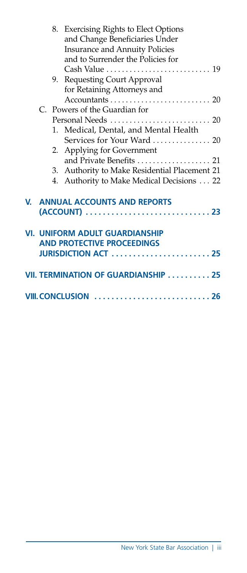|    |    | 8. Exercising Rights to Elect Options         |  |
|----|----|-----------------------------------------------|--|
|    |    | and Change Beneficiaries Under                |  |
|    |    | <b>Insurance and Annuity Policies</b>         |  |
|    |    | and to Surrender the Policies for             |  |
|    |    |                                               |  |
|    |    | 9. Requesting Court Approval                  |  |
|    |    | for Retaining Attorneys and                   |  |
|    |    |                                               |  |
|    |    | C. Powers of the Guardian for                 |  |
|    |    |                                               |  |
|    |    | 1. Medical, Dental, and Mental Health         |  |
|    |    |                                               |  |
|    | 2. | Applying for Government                       |  |
|    |    | and Private Benefits  21                      |  |
|    |    | 3. Authority to Make Residential Placement 21 |  |
|    |    | 4. Authority to Make Medical Decisions 22     |  |
|    |    |                                               |  |
| V. |    | <b>ANNUAL ACCOUNTS AND REPORTS</b>            |  |
|    |    |                                               |  |
|    |    |                                               |  |
|    |    | <b>VI. UNIFORM ADULT GUARDIANSHIP</b>         |  |
|    |    | <b>AND PROTECTIVE PROCEEDINGS</b>             |  |
|    |    | <b>JURISDICTION ACT 25</b>                    |  |
|    |    |                                               |  |
|    |    | VII. TERMINATION OF GUARDIANSHIP 25           |  |
|    |    |                                               |  |
|    |    | <b>VIII. CONCLUSION</b>                       |  |
|    |    |                                               |  |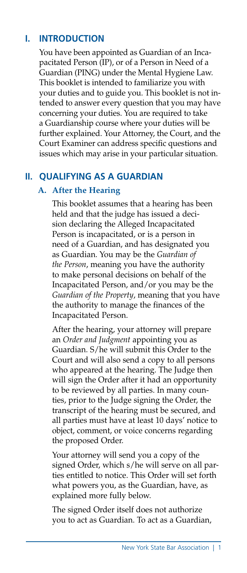#### **I. INTRODUCTION**

 You have been appointed as Guardian of an Incapacitated Person (IP), or of a Person in Need of a Guardian (PING) under the Mental Hygiene Law. This booklet is intended to familiarize you with your duties and to guide you. This booklet is not intended to answer every question that you may have concerning your duties. You are required to take a Guardianship course where your duties will be further explained. Your Attorney, the Court, and the Court Examiner can address specific questions and issues which may arise in your particular situation.

#### **II. QUALIFYING AS A GUARDIAN**

#### **A. After the Hearing**

This booklet assumes that a hearing has been held and that the judge has issued a decision declaring the Alleged Incapacitated Person is incapacitated, or is a person in need of a Guardian, and has designated you as Guardian. You may be the *Guardian of the Person*, meaning you have the authority to make personal decisions on behalf of the Incapacitated Person, and/or you may be the *Guardian of the Property*, meaning that you have the authority to manage the finances of the Incapacitated Person.

After the hearing, your attorney will prepare an *Order and Judgment* appointing you as Guardian. S/he will submit this Order to the Court and will also send a copy to all persons who appeared at the hearing. The Judge then will sign the Order after it had an opportunity to be reviewed by all parties. In many counties, prior to the Judge signing the Order, the transcript of the hearing must be secured, and all parties must have at least 10 days' notice to object, comment, or voice concerns regarding the proposed Order.

Your attorney will send you a copy of the signed Order, which s/he will serve on all parties entitled to notice. This Order will set forth what powers you, as the Guardian, have, as explained more fully below.

The signed Order itself does not authorize you to act as Guardian. To act as a Guardian,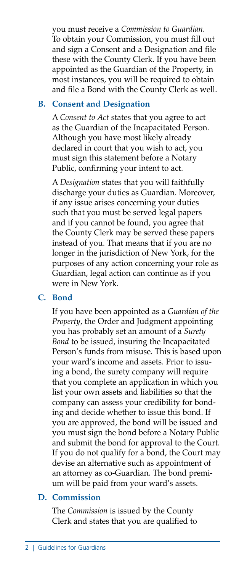you must receive a *Commission to Guardian*. To obtain your Commission, you must fill out and sign a Consent and a Designation and file these with the County Clerk. If you have been appointed as the Guardian of the Property, in most instances, you will be required to obtain and file a Bond with the County Clerk as well.

#### **B. Consent and Designation**

A *Consent to Act* states that you agree to act as the Guardian of the Incapacitated Person. Although you have most likely already declared in court that you wish to act, you must sign this statement before a Notary Public, confirming your intent to act.

A *Designation* states that you will faithfully discharge your duties as Guardian. Moreover, if any issue arises concerning your duties such that you must be served legal papers and if you cannot be found, you agree that the County Clerk may be served these papers instead of you. That means that if you are no longer in the jurisdiction of New York, for the purposes of any action concerning your role as Guardian, legal action can continue as if you were in New York.

#### **C. Bond**

If you have been appointed as a *Guardian of the Property*, the Order and Judgment appointing you has probably set an amount of a *Surety Bond* to be issued, insuring the Incapacitated Person's funds from misuse. This is based upon your ward's income and assets. Prior to issuing a bond, the surety company will require that you complete an application in which you list your own assets and liabilities so that the company can assess your credibility for bonding and decide whether to issue this bond. If you are approved, the bond will be issued and you must sign the bond before a Notary Public and submit the bond for approval to the Court. If you do not qualify for a bond, the Court may devise an alternative such as appointment of an attorney as co-Guardian. The bond premium will be paid from your ward's assets.

#### **D. Commission**

The *Commission* is issued by the County Clerk and states that you are qualified to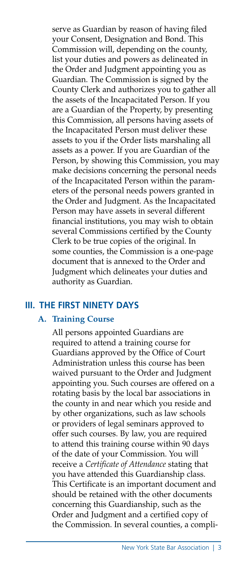serve as Guardian by reason of having filed your Consent, Designation and Bond. This Commission will, depending on the county, list your duties and powers as delineated in the Order and Judgment appointing you as Guardian. The Commission is signed by the County Clerk and authorizes you to gather all the assets of the Incapacitated Person. If you are a Guardian of the Property, by presenting this Commission, all persons having assets of the Incapacitated Person must deliver these assets to you if the Order lists marshaling all assets as a power. If you are Guardian of the Person, by showing this Commission, you may make decisions concerning the personal needs of the Incapacitated Person within the parameters of the personal needs powers granted in the Order and Judgment. As the Incapacitated Person may have assets in several different financial institutions, you may wish to obtain several Commissions certified by the County Clerk to be true copies of the original. In some counties, the Commission is a one-page document that is annexed to the Order and Judgment which delineates your duties and authority as Guardian.

#### **III. THE FIRST NINETY DAYS**

#### **A. Training Course**

All persons appointed Guardians are required to attend a training course for Guardians approved by the Office of Court Administration unless this course has been waived pursuant to the Order and Judgment appointing you. Such courses are offered on a rotating basis by the local bar associations in the county in and near which you reside and by other organizations, such as law schools or providers of legal seminars approved to offer such courses. By law, you are required to attend this training course within 90 days of the date of your Commission. You will receive a *Certificate of Attendance* stating that you have attended this Guardianship class. This Certificate is an important document and should be retained with the other documents concerning this Guardianship, such as the Order and Judgment and a certified copy of the Commission. In several counties, a compli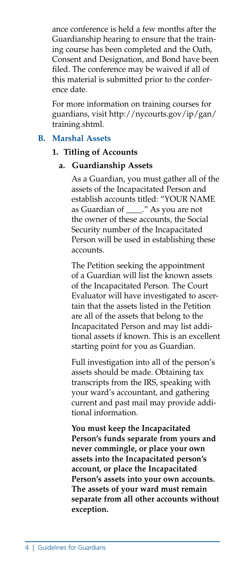ance conference is held a few months after the Guardianship hearing to ensure that the training course has been completed and the Oath, Consent and Designation, and Bond have been filed. The conference may be waived if all of this material is submitted prior to the conference date.

For more information on training courses for guardians, visit http://nycourts.gov/ip/gan/ training.shtml.

#### **B. Marshal Assets**

#### **1. Titling of Accounts**

#### **a. Guardianship Assets**

As a Guardian, you must gather all of the assets of the Incapacitated Person and establish accounts titled: "YOUR NAME as Guardian of \_\_\_\_." As you are not the owner of these accounts, the Social Security number of the Incapacitated Person will be used in establishing these accounts.

The Petition seeking the appointment of a Guardian will list the known assets of the Incapacitated Person. The Court Evaluator will have investigated to ascertain that the assets listed in the Petition are all of the assets that belong to the Incapacitated Person and may list additional assets if known. This is an excellent starting point for you as Guardian.

Full investigation into all of the person's assets should be made. Obtaining tax transcripts from the IRS, speaking with your ward's accountant, and gathering current and past mail may provide additional information.

**You must keep the Incapacitated Person's funds separate from yours and never commingle, or place your own assets into the Incapacitated person's account, or place the Incapacitated Person's assets into your own accounts. The assets of your ward must remain separate from all other accounts without exception.**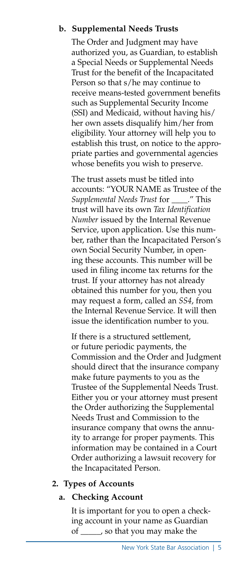#### **b. Supplemental Needs Trusts**

The Order and Judgment may have authorized you, as Guardian, to establish a Special Needs or Supplemental Needs Trust for the benefit of the Incapacitated Person so that s/he may continue to receive means-tested government benefits such as Supplemental Security Income (SSI) and Medicaid, without having his/ her own assets disqualify him/her from eligibility. Your attorney will help you to establish this trust, on notice to the appropriate parties and governmental agencies whose benefits you wish to preserve.

The trust assets must be titled into accounts: "YOUR NAME as Trustee of the *Supplemental Needs Trust* for \_\_\_\_." This trust will have its own *Tax Identification Number* issued by the Internal Revenue Service, upon application. Use this number, rather than the Incapacitated Person's own Social Security Number, in opening these accounts. This number will be used in filing income tax returns for the trust. If your attorney has not already obtained this number for you, then you may request a form, called an *SS4*, from the Internal Revenue Service. It will then issue the identification number to you.

If there is a structured settlement, or future periodic payments, the Commission and the Order and Judgment should direct that the insurance company make future payments to you as the Trustee of the Supplemental Needs Trust. Either you or your attorney must present the Order authorizing the Supplemental Needs Trust and Commission to the insurance company that owns the annuity to arrange for proper payments. This information may be contained in a Court Order authorizing a lawsuit recovery for the Incapacitated Person.

#### **2. Types of Accounts**

#### **a. Checking Account**

It is important for you to open a checking account in your name as Guardian of \_\_\_\_\_, so that you may make the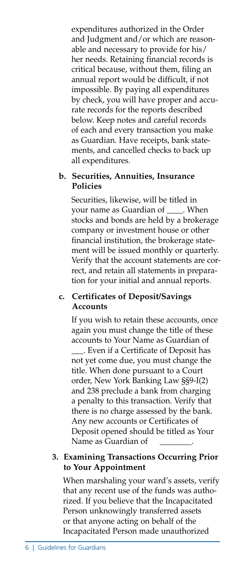expenditures authorized in the Order and Judgment and/or which are reasonable and necessary to provide for his/ her needs. Retaining financial records is critical because, without them, filing an annual report would be difficult, if not impossible. By paying all expenditures by check, you will have proper and accurate records for the reports described below. Keep notes and careful records of each and every transaction you make as Guardian. Have receipts, bank statements, and cancelled checks to back up all expenditures.

#### **b. Securities, Annuities, Insurance Policies**

Securities, likewise, will be titled in your name as Guardian of \_\_\_\_. When stocks and bonds are held by a brokerage company or investment house or other financial institution, the brokerage statement will be issued monthly or quarterly. Verify that the account statements are correct, and retain all statements in preparation for your initial and annual reports.

#### **c. Certificates of Deposit/Savings Accounts**

If you wish to retain these accounts, once again you must change the title of these accounts to Your Name as Guardian of \_\_\_. Even if a Certificate of Deposit has not yet come due, you must change the title. When done pursuant to a Court order, New York Banking Law §§9-I(2) and 238 preclude a bank from charging a penalty to this transaction. Verify that there is no charge assessed by the bank. Any new accounts or Certificates of Deposit opened should be titled as Your Name as Guardian of

#### **3. Examining Transactions Occurring Prior to Your Appointment**

When marshaling your ward's assets, verify that any recent use of the funds was authorized. If you believe that the Incapacitated Person unknowingly transferred assets or that anyone acting on behalf of the Incapacitated Person made unauthorized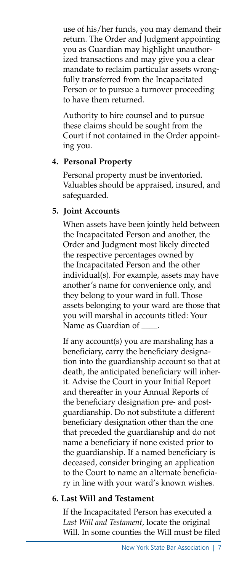use of his/her funds, you may demand their return. The Order and Judgment appointing you as Guardian may highlight unauthorized transactions and may give you a clear mandate to reclaim particular assets wrongfully transferred from the Incapacitated Person or to pursue a turnover proceeding to have them returned.

Authority to hire counsel and to pursue these claims should be sought from the Court if not contained in the Order appointing you.

#### **4. Personal Property**

Personal property must be inventoried. Valuables should be appraised, insured, and safeguarded.

#### **5. Joint Accounts**

When assets have been jointly held between the Incapacitated Person and another, the Order and Judgment most likely directed the respective percentages owned by the Incapacitated Person and the other individual(s). For example, assets may have another's name for convenience only, and they belong to your ward in full. Those assets belonging to your ward are those that you will marshal in accounts titled: Your Name as Guardian of

If any account(s) you are marshaling has a beneficiary, carry the beneficiary designation into the guardianship account so that at death, the anticipated beneficiary will inherit. Advise the Court in your Initial Report and thereafter in your Annual Reports of the beneficiary designation pre- and postguardianship. Do not substitute a different beneficiary designation other than the one that preceded the guardianship and do not name a beneficiary if none existed prior to the guardianship. If a named beneficiary is deceased, consider bringing an application to the Court to name an alternate beneficiary in line with your ward's known wishes.

#### **6. Last Will and Testament**

If the Incapacitated Person has executed a *Last Will and Testament*, locate the original Will. In some counties the Will must be filed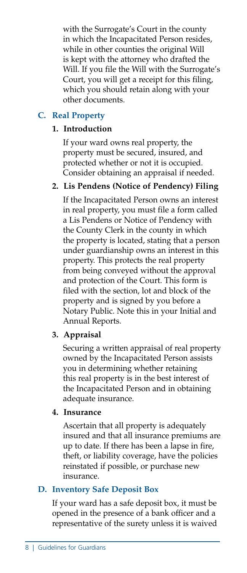with the Surrogate's Court in the county in which the Incapacitated Person resides, while in other counties the original Will is kept with the attorney who drafted the Will. If you file the Will with the Surrogate's Court, you will get a receipt for this filing, which you should retain along with your other documents.

#### **C. Real Property**

#### **1. Introduction**

If your ward owns real property, the property must be secured, insured, and protected whether or not it is occupied. Consider obtaining an appraisal if needed.

#### **2. Lis Pendens (Notice of Pendency) Filing**

If the Incapacitated Person owns an interest in real property, you must file a form called a Lis Pendens or Notice of Pendency with the County Clerk in the county in which the property is located, stating that a person under guardianship owns an interest in this property. This protects the real property from being conveyed without the approval and protection of the Court. This form is filed with the section, lot and block of the property and is signed by you before a Notary Public. Note this in your Initial and Annual Reports.

#### **3. Appraisal**

Securing a written appraisal of real property owned by the Incapacitated Person assists you in determining whether retaining this real property is in the best interest of the Incapacitated Person and in obtaining adequate insurance.

#### **4. Insurance**

Ascertain that all property is adequately insured and that all insurance premiums are up to date. If there has been a lapse in fire, theft, or liability coverage, have the policies reinstated if possible, or purchase new insurance.

#### **D. Inventory Safe Deposit Box**

If your ward has a safe deposit box, it must be opened in the presence of a bank officer and a representative of the surety unless it is waived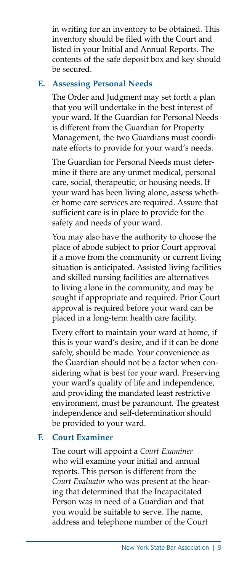in writing for an inventory to be obtained. This inventory should be filed with the Court and listed in your Initial and Annual Reports. The contents of the safe deposit box and key should be secured.

#### **E. Assessing Personal Needs**

The Order and Judgment may set forth a plan that you will undertake in the best interest of your ward. If the Guardian for Personal Needs is different from the Guardian for Property Management, the two Guardians must coordinate efforts to provide for your ward's needs.

The Guardian for Personal Needs must determine if there are any unmet medical, personal care, social, therapeutic, or housing needs. If your ward has been living alone, assess whether home care services are required. Assure that sufficient care is in place to provide for the safety and needs of your ward.

You may also have the authority to choose the place of abode subject to prior Court approval if a move from the community or current living situation is anticipated. Assisted living facilities and skilled nursing facilities are alternatives to living alone in the community, and may be sought if appropriate and required. Prior Court approval is required before your ward can be placed in a long-term health care facility.

Every effort to maintain your ward at home, if this is your ward's desire, and if it can be done safely, should be made. Your convenience as the Guardian should not be a factor when considering what is best for your ward. Preserving your ward's quality of life and independence, and providing the mandated least restrictive environment, must be paramount. The greatest independence and self-determination should be provided to your ward.

#### **F. Court Examiner**

The court will appoint a *Court Examiner* who will examine your initial and annual reports. This person is different from the *Court Evaluator* who was present at the hearing that determined that the Incapacitated Person was in need of a Guardian and that you would be suitable to serve. The name, address and telephone number of the Court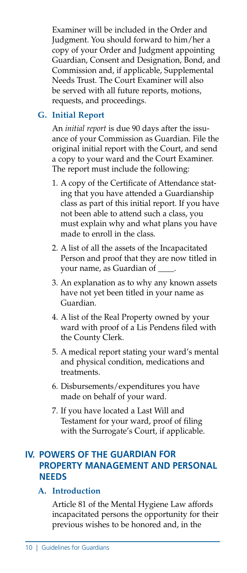Examiner will be included in the Order and Judgment. You should forward to him/her a copy of your Order and Judgment appointing Guardian, Consent and Designation, Bond, and Commission and, if applicable, Supplemental Needs Trust. The Court Examiner will also be served with all future reports, motions, requests, and proceedings.

#### **G. Initial Report**

An *initial report* is due 90 days after the issuance of your Commission as Guardian. File the original initial report with the Court, and send a copy to your ward and the Court Examiner. The report must include the following:

- 1. A copy of the Certificate of Attendance stating that you have attended a Guardianship class as part of this initial report. If you have not been able to attend such a class, you must explain why and what plans you have made to enroll in the class.
- 2. A list of all the assets of the Incapacitated Person and proof that they are now titled in your name, as Guardian of
- 3. An explanation as to why any known assets have not yet been titled in your name as Guardian.
- 4. A list of the Real Property owned by your ward with proof of a Lis Pendens filed with the County Clerk.
- 5. A medical report stating your ward's mental and physical condition, medications and treatments.
- 6. Disbursements/expenditures you have made on behalf of your ward.
- 7. If you have located a Last Will and Testament for your ward, proof of filing with the Surrogate's Court, if applicable.

#### **IV. POWERS OF THE GUARDIAN FOR PROPERTY MANAGEMENT AND PERSONAL NEEDS**

#### **A. Introduction**

Article 81 of the Mental Hygiene Law affords incapacitated persons the opportunity for their previous wishes to be honored and, in the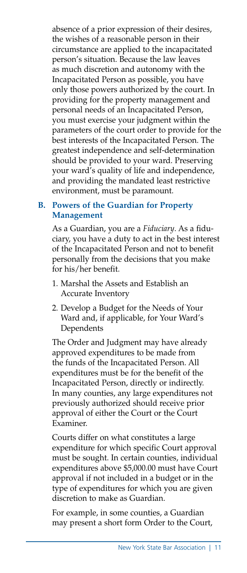absence of a prior expression of their desires, the wishes of a reasonable person in their circumstance are applied to the incapacitated person's situation. Because the law leaves as much discretion and autonomy with the Incapacitated Person as possible, you have only those powers authorized by the court. In providing for the property management and personal needs of an Incapacitated Person, you must exercise your judgment within the parameters of the court order to provide for the best interests of the Incapacitated Person. The greatest independence and self-determination should be provided to your ward. Preserving your ward's quality of life and independence, and providing the mandated least restrictive environment, must be paramount.

#### **B. Powers of the Guardian for Property Management**

As a Guardian, you are a *Fiduciary*. As a fiduciary, you have a duty to act in the best interest of the Incapacitated Person and not to benefit personally from the decisions that you make for his/her benefit.

- 1. Marshal the Assets and Establish an Accurate Inventory
- 2. Develop a Budget for the Needs of Your Ward and, if applicable, for Your Ward's Dependents

The Order and Judgment may have already approved expenditures to be made from the funds of the Incapacitated Person. All expenditures must be for the benefit of the Incapacitated Person, directly or indirectly. In many counties, any large expenditures not previously authorized should receive prior approval of either the Court or the Court Examiner.

Courts differ on what constitutes a large expenditure for which specific Court approval must be sought. In certain counties, individual expenditures above \$5,000.00 must have Court approval if not included in a budget or in the type of expenditures for which you are given discretion to make as Guardian.

For example, in some counties, a Guardian may present a short form Order to the Court,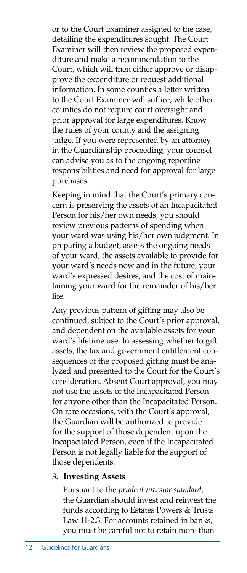or to the Court Examiner assigned to the case, detailing the expenditures sought. The Court Examiner will then review the proposed expenditure and make a recommendation to the Court, which will then either approve or disapprove the expenditure or request additional information. In some counties a letter written to the Court Examiner will suffice, while other counties do not require court oversight and prior approval for large expenditures. Know the rules of your county and the assigning judge. If you were represented by an attorney in the Guardianship proceeding, your counsel can advise you as to the ongoing reporting responsibilities and need for approval for large purchases.

Keeping in mind that the Court's primary concern is preserving the assets of an Incapacitated Person for his/her own needs, you should review previous patterns of spending when your ward was using his/her own judgment. In preparing a budget, assess the ongoing needs of your ward, the assets available to provide for your ward's needs now and in the future, your ward's expressed desires, and the cost of maintaining your ward for the remainder of his/her life.

Any previous pattern of gifting may also be continued, subject to the Court's prior approval, and dependent on the available assets for your ward's lifetime use. In assessing whether to gift assets, the tax and government entitlement consequences of the proposed gifting must be analyzed and presented to the Court for the Court's consideration. Absent Court approval, you may not use the assets of the Incapacitated Person for anyone other than the Incapacitated Person. On rare occasions, with the Court's approval, the Guardian will be authorized to provide for the support of those dependent upon the Incapacitated Person, even if the Incapacitated Person is not legally liable for the support of those dependents.

#### **3. Investing Assets**

Pursuant to the *prudent investor standard*, the Guardian should invest and reinvest the funds according to Estates Powers & Trusts Law 11-2.3. For accounts retained in banks, you must be careful not to retain more than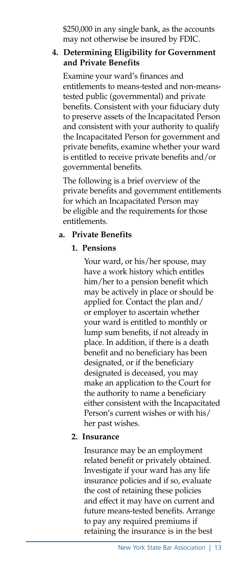\$250,000 in any single bank, as the accounts may not otherwise be insured by FDIC.

#### **4. Determining Eligibility for Government and Private Benefits**

Examine your ward's finances and entitlements to means-tested and non-meanstested public (governmental) and private benefits. Consistent with your fiduciary duty to preserve assets of the Incapacitated Person and consistent with your authority to qualify the Incapacitated Person for government and private benefits, examine whether your ward is entitled to receive private benefits and/or governmental benefits.

The following is a brief overview of the private benefits and government entitlements for which an Incapacitated Person may be eligible and the requirements for those entitlements.

#### **a. Private Benefits**

#### **1. Pensions**

Your ward, or his/her spouse, may have a work history which entitles him/her to a pension benefit which may be actively in place or should be applied for. Contact the plan and/ or employer to ascertain whether your ward is entitled to monthly or lump sum benefits, if not already in place. In addition, if there is a death benefit and no beneficiary has been designated, or if the beneficiary designated is deceased, you may make an application to the Court for the authority to name a beneficiary either consistent with the Incapacitated Person's current wishes or with his/ her past wishes.

#### **2. Insurance**

Insurance may be an employment related benefit or privately obtained. Investigate if your ward has any life insurance policies and if so, evaluate the cost of retaining these policies and effect it may have on current and future means-tested benefits. Arrange to pay any required premiums if retaining the insurance is in the best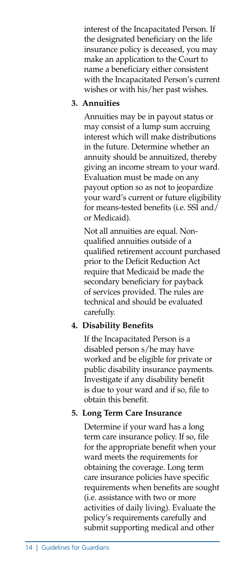interest of the Incapacitated Person. If the designated beneficiary on the life insurance policy is deceased, you may make an application to the Court to name a beneficiary either consistent with the Incapacitated Person's current wishes or with his/her past wishes.

#### **3. Annuities**

Annuities may be in payout status or may consist of a lump sum accruing interest which will make distributions in the future. Determine whether an annuity should be annuitized, thereby giving an income stream to your ward. Evaluation must be made on any payout option so as not to jeopardize your ward's current or future eligibility for means-tested benefits (i.e. SSI and/ or Medicaid).

Not all annuities are equal. Nonqualified annuities outside of a qualified retirement account purchased prior to the Deficit Reduction Act require that Medicaid be made the secondary beneficiary for payback of services provided. The rules are technical and should be evaluated carefully.

#### **4. Disability Benefits**

If the Incapacitated Person is a disabled person s/he may have worked and be eligible for private or public disability insurance payments. Investigate if any disability benefit is due to your ward and if so, file to obtain this benefit.

#### **5. Long Term Care Insurance**

Determine if your ward has a long term care insurance policy. If so, file for the appropriate benefit when your ward meets the requirements for obtaining the coverage. Long term care insurance policies have specific requirements when benefits are sought (i.e. assistance with two or more activities of daily living). Evaluate the policy's requirements carefully and submit supporting medical and other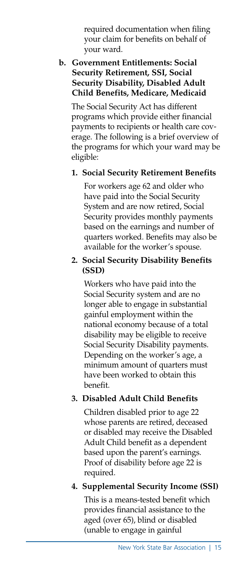required documentation when filing your claim for benefits on behalf of your ward.

#### **b. Government Entitlements: Social Security Retirement, SSI, Social Security Disability, Disabled Adult Child Benefits, Medicare, Medicaid**

The Social Security Act has different programs which provide either financial payments to recipients or health care coverage. The following is a brief overview of the programs for which your ward may be eligible:

#### **1. Social Security Retirement Benefits**

For workers age 62 and older who have paid into the Social Security System and are now retired, Social Security provides monthly payments based on the earnings and number of quarters worked. Benefits may also be available for the worker's spouse.

#### **2. Social Security Disability Benefits (SSD)**

Workers who have paid into the Social Security system and are no longer able to engage in substantial gainful employment within the national economy because of a total disability may be eligible to receive Social Security Disability payments. Depending on the worker's age, a minimum amount of quarters must have been worked to obtain this benefit.

#### **3. Disabled Adult Child Benefits**

Children disabled prior to age 22 whose parents are retired, deceased or disabled may receive the Disabled Adult Child benefit as a dependent based upon the parent's earnings. Proof of disability before age 22 is required.

#### **4. Supplemental Security Income (SSI)**

This is a means-tested benefit which provides financial assistance to the aged (over 65), blind or disabled (unable to engage in gainful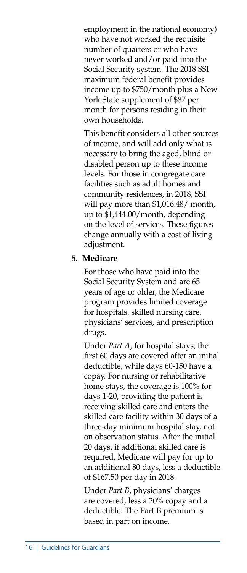employment in the national economy) who have not worked the requisite number of quarters or who have never worked and/or paid into the Social Security system. The 2018 SSI maximum federal benefit provides income up to \$750/month plus a New York State supplement of \$87 per month for persons residing in their own households.

This benefit considers all other sources of income, and will add only what is necessary to bring the aged, blind or disabled person up to these income levels. For those in congregate care facilities such as adult homes and community residences, in 2018, SSI will pay more than \$1,016.48/ month, up to \$1,444.00/month, depending on the level of services. These figures change annually with a cost of living adjustment.

#### **5. Medicare**

For those who have paid into the Social Security System and are 65 years of age or older, the Medicare program provides limited coverage for hospitals, skilled nursing care, physicians' services, and prescription drugs.

Under *Part A*, for hospital stays, the first 60 days are covered after an initial deductible, while days 60-150 have a copay. For nursing or rehabilitative home stays, the coverage is 100% for days 1-20, providing the patient is receiving skilled care and enters the skilled care facility within 30 days of a three-day minimum hospital stay, not on observation status. After the initial 20 days, if additional skilled care is required, Medicare will pay for up to an additional 80 days, less a deductible of \$167.50 per day in 2018.

Under *Part B*, physicians' charges are covered, less a 20% copay and a deductible. The Part B premium is based in part on income.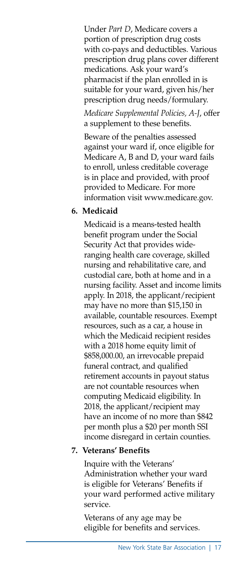Under *Part D*, Medicare covers a portion of prescription drug costs with co-pays and deductibles. Various prescription drug plans cover different medications. Ask your ward's pharmacist if the plan enrolled in is suitable for your ward, given his/her prescription drug needs/formulary.

*Medicare Supplemental Policies, A-J*, offer a supplement to these benefits.

Beware of the penalties assessed against your ward if, once eligible for Medicare A, B and D, your ward fails to enroll, unless creditable coverage is in place and provided, with proof provided to Medicare. For more information visit www.medicare.gov.

#### **6. Medicaid**

Medicaid is a means-tested health benefit program under the Social Security Act that provides wideranging health care coverage, skilled nursing and rehabilitative care, and custodial care, both at home and in a nursing facility. Asset and income limits apply. In 2018, the applicant/recipient may have no more than \$15,150 in available, countable resources. Exempt resources, such as a car, a house in which the Medicaid recipient resides with a 2018 home equity limit of \$858,000.00, an irrevocable prepaid funeral contract, and qualified retirement accounts in payout status are not countable resources when computing Medicaid eligibility. In 2018, the applicant/recipient may have an income of no more than \$842 per month plus a \$20 per month SSI income disregard in certain counties.

#### **7. Veterans' Benefits**

Inquire with the Veterans' Administration whether your ward is eligible for Veterans' Benefits if your ward performed active military service.

Veterans of any age may be eligible for benefits and services.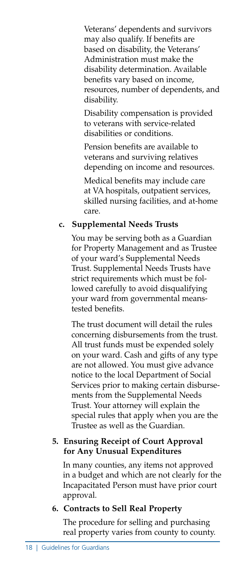Veterans' dependents and survivors may also qualify. If benefits are based on disability, the Veterans' Administration must make the disability determination. Available benefits vary based on income, resources, number of dependents, and disability.

Disability compensation is provided to veterans with service-related disabilities or conditions.

Pension benefits are available to veterans and surviving relatives depending on income and resources.

Medical benefits may include care at VA hospitals, outpatient services, skilled nursing facilities, and at-home care.

#### **c. Supplemental Needs Trusts**

You may be serving both as a Guardian for Property Management and as Trustee of your ward's Supplemental Needs Trust. Supplemental Needs Trusts have strict requirements which must be followed carefully to avoid disqualifying your ward from governmental meanstested benefits.

The trust document will detail the rules concerning disbursements from the trust. All trust funds must be expended solely on your ward. Cash and gifts of any type are not allowed. You must give advance notice to the local Department of Social Services prior to making certain disbursements from the Supplemental Needs Trust. Your attorney will explain the special rules that apply when you are the Trustee as well as the Guardian.

#### **5. Ensuring Receipt of Court Approval for Any Unusual Expenditures**

In many counties, any items not approved in a budget and which are not clearly for the Incapacitated Person must have prior court approval.

#### **6. Contracts to Sell Real Property**

The procedure for selling and purchasing real property varies from county to county.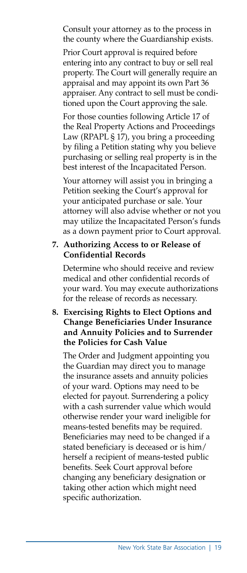Consult your attorney as to the process in the county where the Guardianship exists.

Prior Court approval is required before entering into any contract to buy or sell real property. The Court will generally require an appraisal and may appoint its own Part 36 appraiser. Any contract to sell must be conditioned upon the Court approving the sale.

For those counties following Article 17 of the Real Property Actions and Proceedings Law (RPAPL § 17), you bring a proceeding by filing a Petition stating why you believe purchasing or selling real property is in the best interest of the Incapacitated Person.

Your attorney will assist you in bringing a Petition seeking the Court's approval for your anticipated purchase or sale. Your attorney will also advise whether or not you may utilize the Incapacitated Person's funds as a down payment prior to Court approval.

#### **7. Authorizing Access to or Release of Confidential Records**

Determine who should receive and review medical and other confidential records of your ward. You may execute authorizations for the release of records as necessary.

#### **8. Exercising Rights to Elect Options and Change Beneficiaries Under Insurance and Annuity Policies and to Surrender the Policies for Cash Value**

The Order and Judgment appointing you the Guardian may direct you to manage the insurance assets and annuity policies of your ward. Options may need to be elected for payout. Surrendering a policy with a cash surrender value which would otherwise render your ward ineligible for means-tested benefits may be required. Beneficiaries may need to be changed if a stated beneficiary is deceased or is him/ herself a recipient of means-tested public benefits. Seek Court approval before changing any beneficiary designation or taking other action which might need specific authorization.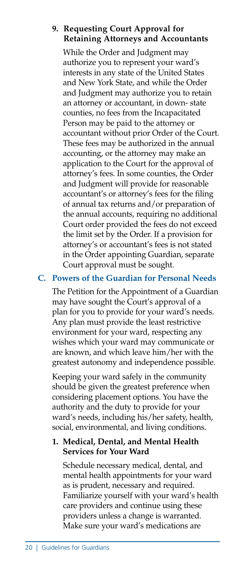#### **9. Requesting Court Approval for Retaining Attorneys and Accountants**

While the Order and Judgment may authorize you to represent your ward's interests in any state of the United States and New York State, and while the Order and Judgment may authorize you to retain an attorney or accountant, in down- state counties, no fees from the Incapacitated Person may be paid to the attorney or accountant without prior Order of the Court. These fees may be authorized in the annual accounting, or the attorney may make an application to the Court for the approval of attorney's fees. In some counties, the Order and Judgment will provide for reasonable accountant's or attorney's fees for the filing of annual tax returns and/or preparation of the annual accounts, requiring no additional Court order provided the fees do not exceed the limit set by the Order. If a provision for attorney's or accountant's fees is not stated in the Order appointing Guardian, separate Court approval must be sought.

#### **C. Powers of the Guardian for Personal Needs**

The Petition for the Appointment of a Guardian may have sought the Court's approval of a plan for you to provide for your ward's needs. Any plan must provide the least restrictive environment for your ward, respecting any wishes which your ward may communicate or are known, and which leave him/her with the greatest autonomy and independence possible.

Keeping your ward safely in the community should be given the greatest preference when considering placement options. You have the authority and the duty to provide for your ward's needs, including his/her safety, health, social, environmental, and living conditions.

#### **1. Medical, Dental, and Mental Health Services for Your Ward**

Schedule necessary medical, dental, and mental health appointments for your ward as is prudent, necessary and required. Familiarize yourself with your ward's health care providers and continue using these providers unless a change is warranted. Make sure your ward's medications are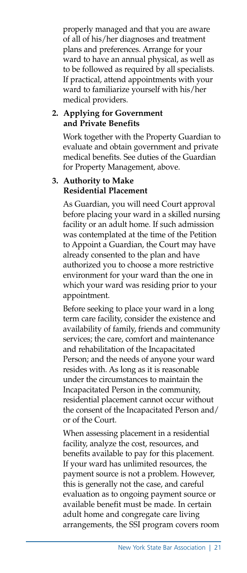properly managed and that you are aware of all of his/her diagnoses and treatment plans and preferences. Arrange for your ward to have an annual physical, as well as to be followed as required by all specialists. If practical, attend appointments with your ward to familiarize yourself with his/her medical providers.

#### **2. Applying for Government and Private Benefits**

Work together with the Property Guardian to evaluate and obtain government and private medical benefits. See duties of the Guardian for Property Management, above.

#### **3. Authority to Make Residential Placement**

As Guardian, you will need Court approval before placing your ward in a skilled nursing facility or an adult home. If such admission was contemplated at the time of the Petition to Appoint a Guardian, the Court may have already consented to the plan and have authorized you to choose a more restrictive environment for your ward than the one in which your ward was residing prior to your appointment.

Before seeking to place your ward in a long term care facility, consider the existence and availability of family, friends and community services; the care, comfort and maintenance and rehabilitation of the Incapacitated Person; and the needs of anyone your ward resides with. As long as it is reasonable under the circumstances to maintain the Incapacitated Person in the community, residential placement cannot occur without the consent of the Incapacitated Person and/ or of the Court.

When assessing placement in a residential facility, analyze the cost, resources, and benefits available to pay for this placement. If your ward has unlimited resources, the payment source is not a problem. However, this is generally not the case, and careful evaluation as to ongoing payment source or available benefit must be made. In certain adult home and congregate care living arrangements, the SSI program covers room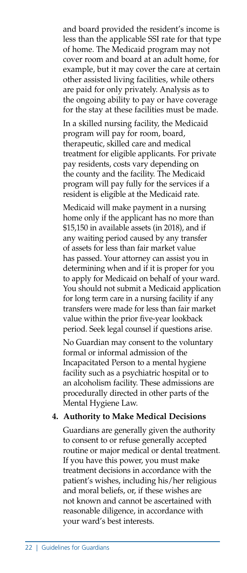and board provided the resident's income is less than the applicable SSI rate for that type of home. The Medicaid program may not cover room and board at an adult home, for example, but it may cover the care at certain other assisted living facilities, while others are paid for only privately. Analysis as to the ongoing ability to pay or have coverage for the stay at these facilities must be made.

In a skilled nursing facility, the Medicaid program will pay for room, board, therapeutic, skilled care and medical treatment for eligible applicants. For private pay residents, costs vary depending on the county and the facility. The Medicaid program will pay fully for the services if a resident is eligible at the Medicaid rate.

Medicaid will make payment in a nursing home only if the applicant has no more than \$15,150 in available assets (in 2018), and if any waiting period caused by any transfer of assets for less than fair market value has passed. Your attorney can assist you in determining when and if it is proper for you to apply for Medicaid on behalf of your ward. You should not submit a Medicaid application for long term care in a nursing facility if any transfers were made for less than fair market value within the prior five-year lookback period. Seek legal counsel if questions arise.

No Guardian may consent to the voluntary formal or informal admission of the Incapacitated Person to a mental hygiene facility such as a psychiatric hospital or to an alcoholism facility. These admissions are procedurally directed in other parts of the Mental Hygiene Law.

#### **4. Authority to Make Medical Decisions**

Guardians are generally given the authority to consent to or refuse generally accepted routine or major medical or dental treatment. If you have this power, you must make treatment decisions in accordance with the patient's wishes, including his/her religious and moral beliefs, or, if these wishes are not known and cannot be ascertained with reasonable diligence, in accordance with your ward's best interests.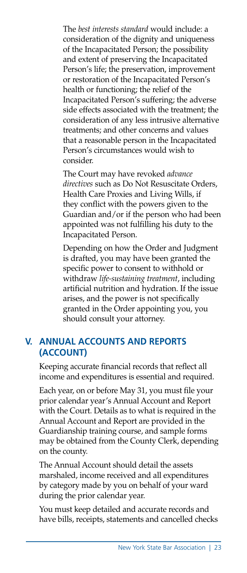The *best interests standard* would include: a consideration of the dignity and uniqueness of the Incapacitated Person; the possibility and extent of preserving the Incapacitated Person's life; the preservation, improvement or restoration of the Incapacitated Person's health or functioning; the relief of the Incapacitated Person's suffering; the adverse side effects associated with the treatment; the consideration of any less intrusive alternative treatments; and other concerns and values that a reasonable person in the Incapacitated Person's circumstances would wish to consider.

The Court may have revoked *advance directives* such as Do Not Resuscitate Orders, Health Care Proxies and Living Wills, if they conflict with the powers given to the Guardian and/or if the person who had been appointed was not fulfilling his duty to the Incapacitated Person.

Depending on how the Order and Judgment is drafted, you may have been granted the specific power to consent to withhold or withdraw *life-sustaining treatment*, including artificial nutrition and hydration. If the issue arises, and the power is not specifically granted in the Order appointing you, you should consult your attorney.

#### **V. ANNUAL ACCOUNTS AND REPORTS (ACCOUNT)**

 Keeping accurate financial records that reflect all income and expenditures is essential and required.

 Each year, on or before May 31, you must file your prior calendar year's Annual Account and Report with the Court. Details as to what is required in the Annual Account and Report are provided in the Guardianship training course, and sample forms may be obtained from the County Clerk, depending on the county.

 The Annual Account should detail the assets marshaled, income received and all expenditures by category made by you on behalf of your ward during the prior calendar year.

 You must keep detailed and accurate records and have bills, receipts, statements and cancelled checks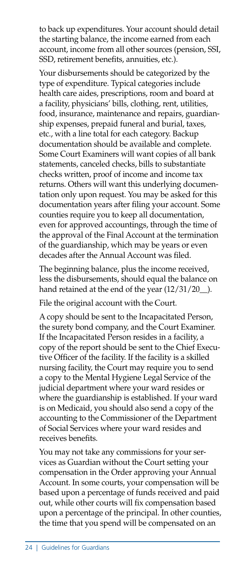to back up expenditures. Your account should detail the starting balance, the income earned from each account, income from all other sources (pension, SSI, SSD, retirement benefits, annuities, etc.).

 Your disbursements should be categorized by the type of expenditure. Typical categories include health care aides, prescriptions, room and board at a facility, physicians' bills, clothing, rent, utilities, food, insurance, maintenance and repairs, guardianship expenses, prepaid funeral and burial, taxes, etc., with a line total for each category. Backup documentation should be available and complete. Some Court Examiners will want copies of all bank statements, canceled checks, bills to substantiate checks written, proof of income and income tax returns. Others will want this underlying documentation only upon request. You may be asked for this documentation years after filing your account. Some counties require you to keep all documentation, even for approved accountings, through the time of the approval of the Final Account at the termination of the guardianship, which may be years or even decades after the Annual Account was filed.

 The beginning balance, plus the income received, less the disbursements, should equal the balance on hand retained at the end of the year  $(12/31/20)$ .

File the original account with the Court.

 A copy should be sent to the Incapacitated Person, the surety bond company, and the Court Examiner. If the Incapacitated Person resides in a facility, a copy of the report should be sent to the Chief Executive Officer of the facility. If the facility is a skilled nursing facility, the Court may require you to send a copy to the Mental Hygiene Legal Service of the judicial department where your ward resides or where the guardianship is established. If your ward is on Medicaid, you should also send a copy of the accounting to the Commissioner of the Department of Social Services where your ward resides and receives benefits.

 You may not take any commissions for your services as Guardian without the Court setting your compensation in the Order approving your Annual Account. In some courts, your compensation will be based upon a percentage of funds received and paid out, while other courts will fix compensation based upon a percentage of the principal. In other counties, the time that you spend will be compensated on an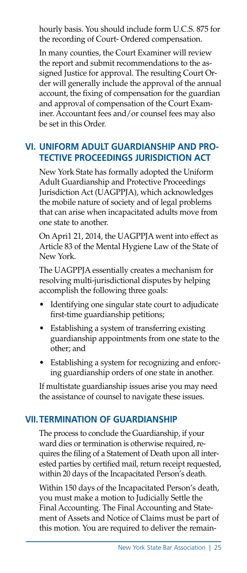hourly basis. You should include form U.C.S. 875 for the recording of Court- Ordered compensation.

 In many counties, the Court Examiner will review the report and submit recommendations to the assigned Justice for approval. The resulting Court Order will generally include the approval of the annual account, the fixing of compensation for the guardian and approval of compensation of the Court Examiner. Accountant fees and/or counsel fees may also be set in this Order.

#### **VI. UNIFORM ADUIT GUARDIANSHIP AND PRO-TECTIVE PROCEEDINGS JURISDICTION ACT**

 New York State has formally adopted the Uniform Adult Guardianship and Protective Proceedings Jurisdiction Act (UAGPPJA), which acknowledges the mobile nature of society and of legal problems that can arise when incapacitated adults move from one state to another.

 On Apri1 21, 2014, the UAGPPJA went into effect as Article 83 of the Mental Hygiene Law of the State of New York.

 The UAGPPJA essentially creates a mechanism for resolving multi-jurisdictional disputes by helping accomplish the following three goals:

- Identifying one singular state court to adjudicate first-time guardianship petitions;
- Establishing a system of transferring existing guardianship appointments from one state to the other; and
- Establishing a system for recognizing and enforcing guardianship orders of one state in another.

If multistate guardianship issues arise you may need the assistance of counsel to navigate these issues.

#### **VII.TERMINATION OF GUARDIANSHIP**

 The process to conclude the Guardianship, if your ward dies or termination is otherwise required, requires the filing of a Statement of Death upon all interested parties by certified mail, return receipt requested, within 20 days of the Incapacitated Person's death.

 Within 150 days of the Incapacitated Person's death, you must make a motion to Judicially Settle the Final Accounting. The Final Accounting and Statement of Assets and Notice of Claims must be part of this motion. You are required to deliver the remain